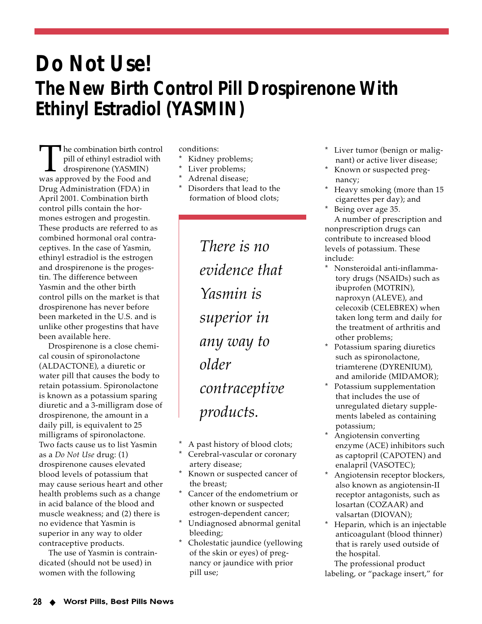## **Do Not Use! The New Birth Control Pill Drospirenone With Ethinyl Estradiol (YASMIN)**

The combination birth control<br>pill of ethinyl estradiol with<br>drospirenone (YASMIN)<br>was approved by the Food and pill of ethinyl estradiol with drospirenone (YASMIN) Drug Administration (FDA) in April 2001. Combination birth control pills contain the hormones estrogen and progestin. These products are referred to as combined hormonal oral contraceptives. In the case of Yasmin, ethinyl estradiol is the estrogen and drospirenone is the progestin. The difference between Yasmin and the other birth control pills on the market is that drospirenone has never before been marketed in the U.S. and is unlike other progestins that have been available here.

Drospirenone is a close chemical cousin of spironolactone (ALDACTONE), a diuretic or water pill that causes the body to retain potassium. Spironolactone is known as a potassium sparing diuretic and a 3-milligram dose of drospirenone, the amount in a daily pill, is equivalent to 25 milligrams of spironolactone. Two facts cause us to list Yasmin as a *Do Not Use* drug: (1) drospirenone causes elevated blood levels of potassium that may cause serious heart and other health problems such as a change in acid balance of the blood and muscle weakness; and (2) there is no evidence that Yasmin is superior in any way to older contraceptive products.

The use of Yasmin is contraindicated (should not be used) in women with the following

conditions:

- Kidney problems;
- Liver problems;
- Adrenal disease;
- Disorders that lead to the formation of blood clots;

*There is no evidence that Yasmin is superior in any way to older contraceptive products.*

- A past history of blood clots;
- Cerebral-vascular or coronary artery disease;
- Known or suspected cancer of the breast;
- Cancer of the endometrium or other known or suspected estrogen-dependent cancer;
- Undiagnosed abnormal genital bleeding;
- Cholestatic jaundice (yellowing of the skin or eyes) of pregnancy or jaundice with prior pill use;
- Liver tumor (benign or malignant) or active liver disease;
- \* Known or suspected pregnancy;
- Heavy smoking (more than 15 cigarettes per day); and
- Being over age 35. A number of prescription and nonprescription drugs can contribute to increased blood levels of potassium. These include:
- Nonsteroidal anti-inflammatory drugs (NSAIDs) such as ibuprofen (MOTRIN), naproxyn (ALEVE), and celecoxib (CELEBREX) when taken long term and daily for the treatment of arthritis and other problems;
- Potassium sparing diuretics such as spironolactone, triamterene (DYRENIUM), and amiloride (MIDAMOR);
- Potassium supplementation that includes the use of unregulated dietary supplements labeled as containing potassium;
- Angiotensin converting enzyme (ACE) inhibitors such as captopril (CAPOTEN) and enalapril (VASOTEC);
- Angiotensin receptor blockers, also known as angiotensin-II receptor antagonists, such as losartan (COZAAR) and valsartan (DIOVAN);
- Heparin, which is an injectable anticoagulant (blood thinner) that is rarely used outside of the hospital.

The professional product labeling, or "package insert," for